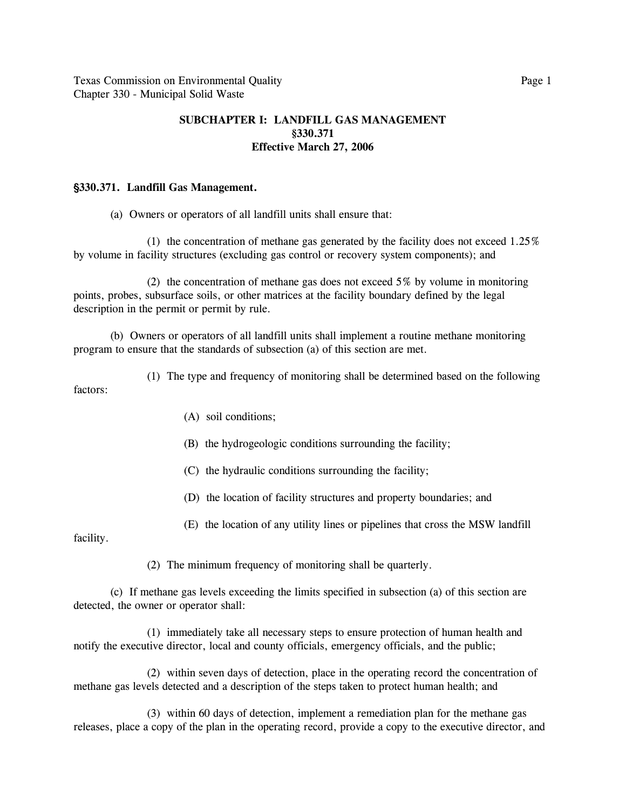## **SUBCHAPTER I: LANDFILL GAS MANAGEMENT §330.371 Effective March 27, 2006**

## '**330.371. Landfill Gas Management.**

(a) Owners or operators of all landfill units shall ensure that:

(1) the concentration of methane gas generated by the facility does not exceed  $1.25\%$ by volume in facility structures (excluding gas control or recovery system components); and

(2) the concentration of methane gas does not exceed 5% by volume in monitoring points, probes, subsurface soils, or other matrices at the facility boundary defined by the legal description in the permit or permit by rule.

(b) Owners or operators of all landfill units shall implement a routine methane monitoring program to ensure that the standards of subsection (a) of this section are met.

(1) The type and frequency of monitoring shall be determined based on the following factors:

- (A) soil conditions;
- (B) the hydrogeologic conditions surrounding the facility;
- (C) the hydraulic conditions surrounding the facility;
- (D) the location of facility structures and property boundaries; and
- (E) the location of any utility lines or pipelines that cross the MSW landfill

facility.

(2) The minimum frequency of monitoring shall be quarterly.

(c) If methane gas levels exceeding the limits specified in subsection (a) of this section are detected, the owner or operator shall:

(1) immediately take all necessary steps to ensure protection of human health and notify the executive director, local and county officials, emergency officials, and the public;

(2) within seven days of detection, place in the operating record the concentration of methane gas levels detected and a description of the steps taken to protect human health; and

(3) within 60 days of detection, implement a remediation plan for the methane gas releases, place a copy of the plan in the operating record, provide a copy to the executive director, and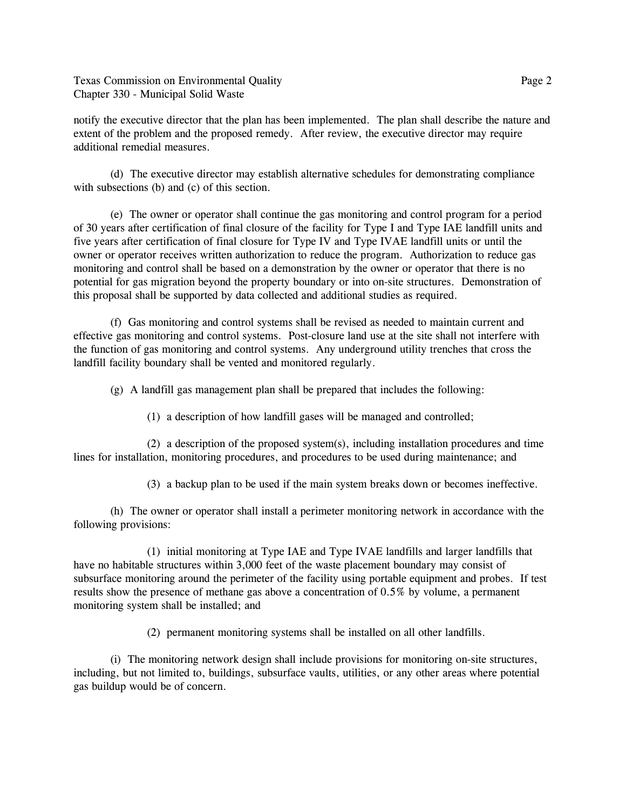Texas Commission on Environmental Quality **Page 2** 2 Chapter 330 - Municipal Solid Waste

notify the executive director that the plan has been implemented. The plan shall describe the nature and extent of the problem and the proposed remedy. After review, the executive director may require additional remedial measures.

(d) The executive director may establish alternative schedules for demonstrating compliance with subsections (b) and (c) of this section.

(e) The owner or operator shall continue the gas monitoring and control program for a period of 30 years after certification of final closure of the facility for Type I and Type IAE landfill units and five years after certification of final closure for Type IV and Type IVAE landfill units or until the owner or operator receives written authorization to reduce the program. Authorization to reduce gas monitoring and control shall be based on a demonstration by the owner or operator that there is no potential for gas migration beyond the property boundary or into on-site structures. Demonstration of this proposal shall be supported by data collected and additional studies as required.

(f) Gas monitoring and control systems shall be revised as needed to maintain current and effective gas monitoring and control systems. Post-closure land use at the site shall not interfere with the function of gas monitoring and control systems. Any underground utility trenches that cross the landfill facility boundary shall be vented and monitored regularly.

(g) A landfill gas management plan shall be prepared that includes the following:

(1) a description of how landfill gases will be managed and controlled;

(2) a description of the proposed system(s), including installation procedures and time lines for installation, monitoring procedures, and procedures to be used during maintenance; and

(3) a backup plan to be used if the main system breaks down or becomes ineffective.

(h) The owner or operator shall install a perimeter monitoring network in accordance with the following provisions:

(1) initial monitoring at Type IAE and Type IVAE landfills and larger landfills that have no habitable structures within 3,000 feet of the waste placement boundary may consist of subsurface monitoring around the perimeter of the facility using portable equipment and probes. If test results show the presence of methane gas above a concentration of 0.5% by volume, a permanent monitoring system shall be installed; and

(2) permanent monitoring systems shall be installed on all other landfills.

(i) The monitoring network design shall include provisions for monitoring on-site structures, including, but not limited to, buildings, subsurface vaults, utilities, or any other areas where potential gas buildup would be of concern.